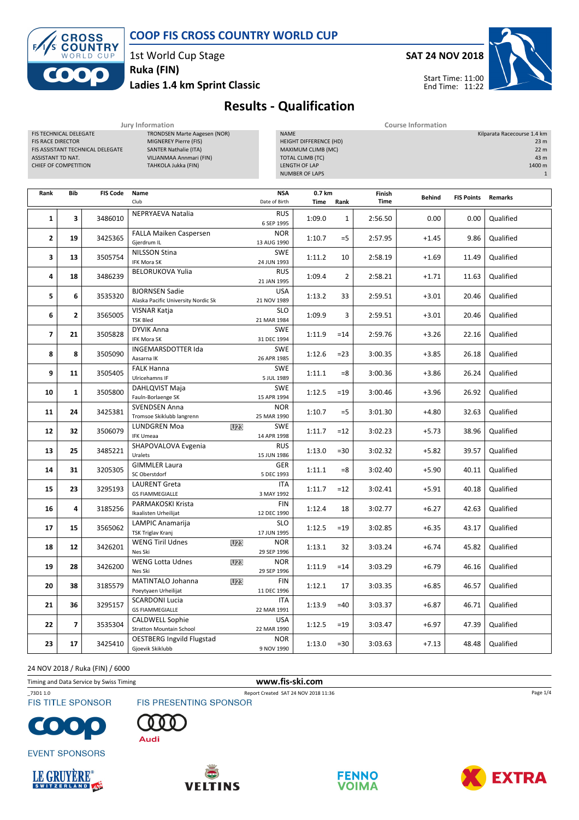

COOP FIS CROSS COUNTRY WORLD CUP

1st World Cup Stage

Ruka (FIN)

Ladies 1.4 km Sprint Classic



## Results - Qualification

|                                                                                                                                     |              |                 | Jury Information                                                                                                                               | <b>Course Information</b> |                             |                                                                                                                                  |                |                       |                                       |                   |           |  |
|-------------------------------------------------------------------------------------------------------------------------------------|--------------|-----------------|------------------------------------------------------------------------------------------------------------------------------------------------|---------------------------|-----------------------------|----------------------------------------------------------------------------------------------------------------------------------|----------------|-----------------------|---------------------------------------|-------------------|-----------|--|
| FIS TECHNICAL DELEGATE<br><b>FIS RACE DIRECTOR</b><br>FIS ASSISTANT TECHNICAL DELEGATE<br>ASSISTANT TD NAT.<br>CHIEF OF COMPETITION |              |                 | <b>TRONDSEN Marte Aagesen (NOR)</b><br>MIGNEREY Pierre (FIS)<br><b>SANTER Nathalie (ITA)</b><br>VILJANMAA Annmari (FIN)<br>TAHKOLA Jukka (FIN) |                           |                             | <b>NAME</b><br>HEIGHT DIFFERENCE (HD)<br>MAXIMUM CLIMB (MC)<br><b>TOTAL CLIMB (TC)</b><br>LENGTH OF LAP<br><b>NUMBER OF LAPS</b> |                |                       | Kilparata Racecourse 1.4 km<br>1400 m |                   |           |  |
| Rank                                                                                                                                | Bib          | <b>FIS Code</b> | Name<br>Club                                                                                                                                   |                           | <b>NSA</b><br>Date of Birth | 0.7 km<br>Time<br>Rank                                                                                                           |                | Finish<br><b>Time</b> | <b>Behind</b>                         | <b>FIS Points</b> | Remarks   |  |
| 1                                                                                                                                   | 3            | 3486010         | NEPRYAEVA Natalia                                                                                                                              |                           | <b>RUS</b><br>6 SEP 1995    | 1:09.0                                                                                                                           | $\mathbf{1}$   | 2:56.50               | 0.00                                  | 0.00              | Qualified |  |
| $\mathbf{2}$                                                                                                                        | 19           | 3425365         | <b>FALLA Maiken Caspersen</b><br>Gjerdrum IL                                                                                                   |                           | <b>NOR</b><br>13 AUG 1990   | 1:10.7                                                                                                                           | $=$ 5          | 2:57.95               | $+1.45$                               | 9.86              | Qualified |  |
| 3                                                                                                                                   | 13           | 3505754         | <b>NILSSON Stina</b><br>IFK Mora SK                                                                                                            |                           | <b>SWE</b><br>24 JUN 1993   | 1:11.2                                                                                                                           | 10             | 2:58.19               | $+1.69$                               | 11.49             | Qualified |  |
| 4                                                                                                                                   | 18           | 3486239         | <b>BELORUKOVA Yulia</b>                                                                                                                        |                           | <b>RUS</b><br>21 JAN 1995   | 1:09.4                                                                                                                           | $\overline{2}$ | 2:58.21               | $+1.71$                               | 11.63             | Qualified |  |
| 5                                                                                                                                   | 6            | 3535320         | <b>BJORNSEN Sadie</b><br>Alaska Pacific University Nordic Sk                                                                                   |                           | USA<br>21 NOV 1989          | 1:13.2                                                                                                                           | 33             | 2:59.51               | $+3.01$                               | 20.46             | Qualified |  |
| 6                                                                                                                                   | $\mathbf{z}$ | 3565005         | VISNAR Katja<br><b>TSK Bled</b>                                                                                                                |                           | <b>SLO</b><br>21 MAR 1984   | 1:09.9                                                                                                                           | 3              | 2:59.51               | $+3.01$                               | 20.46             | Qualified |  |
| $\overline{ }$                                                                                                                      | 21           | 3505828         | <b>DYVIK Anna</b><br>IFK Mora SK                                                                                                               |                           | <b>SWE</b><br>31 DEC 1994   | 1:11.9                                                                                                                           | $=14$          | 2:59.76               | $+3.26$                               | 22.16             | Qualified |  |
| 8                                                                                                                                   | 8            | 3505090         | INGEMARSDOTTER Ida<br>Aasarna IK                                                                                                               |                           | <b>SWE</b><br>26 APR 1985   | 1:12.6                                                                                                                           | $= 23$         | 3:00.35               | $+3.85$                               | 26.18             | Qualified |  |
| 9                                                                                                                                   | 11           | 3505405         | <b>FALK Hanna</b><br>Ulricehamns IF                                                                                                            |                           | <b>SWE</b><br>5 JUL 1989    | 1:11.1                                                                                                                           | =8             | 3:00.36               | $+3.86$                               | 26.24             | Qualified |  |
| 10                                                                                                                                  | $\mathbf{1}$ | 3505800         | DAHLQVIST Maja<br>Fauln-Borlaenge SK                                                                                                           |                           | <b>SWE</b><br>15 APR 1994   | 1:12.5                                                                                                                           | $=19$          | 3:00.46               | $+3.96$                               | 26.92             | Qualified |  |
| 11                                                                                                                                  | 24           | 3425381         | <b>SVENDSEN Anna</b><br>Tromsoe Skiklubb langrenn                                                                                              |                           | <b>NOR</b><br>25 MAR 1990   | 1:10.7                                                                                                                           | $=$ 5          | 3:01.30               | $+4.80$                               | 32.63             | Qualified |  |
| 12                                                                                                                                  | 32           | 3506079         | <b>LUNDGREN Moa</b><br><b>U23</b><br><b>IFK Umeaa</b>                                                                                          |                           | <b>SWE</b><br>14 APR 1998   | 1:11.7                                                                                                                           | $=12$          | 3:02.23               | $+5.73$                               | 38.96             | Qualified |  |
| 13                                                                                                                                  | 25           | 3485221         | SHAPOVALOVA Evgenia<br>Uralets                                                                                                                 |                           | <b>RUS</b><br>15 JUN 1986   | 1:13.0                                                                                                                           | $= 30$         | 3:02.32               | $+5.82$                               | 39.57             | Qualified |  |
| 14                                                                                                                                  | 31           | 3205305         | <b>GIMMLER Laura</b><br>SC Oberstdorf                                                                                                          |                           | GER<br>5 DEC 1993           | 1:11.1                                                                                                                           | $=8$           | 3:02.40               | $+5.90$                               | 40.11             | Qualified |  |
| 15                                                                                                                                  | 23           | 3295193         | <b>LAURENT Greta</b><br><b>GS FIAMMEGIALLE</b>                                                                                                 |                           | <b>ITA</b><br>3 MAY 1992    | 1:11.7                                                                                                                           | $=12$          | 3:02.41               | $+5.91$                               | 40.18             | Qualified |  |
| 16                                                                                                                                  | 4            | 3185256         | PARMAKOSKI Krista<br>Ikaalisten Urheilijat                                                                                                     |                           | FIN<br>12 DEC 1990          | 1:12.4                                                                                                                           | 18             | 3:02.77               | $+6.27$                               | 42.63             | Qualified |  |
| 17                                                                                                                                  | 15           | 3565062         | LAMPIC Anamarija<br>TSK Triglav Kranj                                                                                                          |                           | <b>SLO</b><br>17 JUN 1995   | 1:12.5                                                                                                                           | $=19$          | 3:02.85               | $+6.35$                               | 43.17             | Qualified |  |
| 18                                                                                                                                  | 12           | 3426201         | <b>WENG Tiril Udnes</b><br>Nes Ski                                                                                                             | U23                       | <b>NOR</b><br>29 SEP 1996   | 1:13.1                                                                                                                           | 32             | 3:03.24               | $+6.74$                               | 45.82             | Qualified |  |
| 19                                                                                                                                  | 28           | 3426200         | WENG Lotta Udnes<br>Nes Ski                                                                                                                    | <b>U23</b>                | <b>NOR</b><br>29 SEP 1996   | 1:11.9                                                                                                                           | $=14$          | 3:03.29               | $+6.79$                               | 46.16             | Qualified |  |
| 20                                                                                                                                  | 38           | 3185579         | MATINTALO Johanna<br>Poeytyaen Urheilijat                                                                                                      | U23                       | <b>FIN</b><br>11 DEC 1996   | 1:12.1                                                                                                                           | 17             | 3:03.35               | $+6.85$                               | 46.57             | Qualified |  |
| 21                                                                                                                                  | 36           | 3295157         | <b>SCARDONI Lucia</b><br><b>GS FIAMMEGIALLE</b>                                                                                                |                           | ITA<br>22 MAR 1991          | 1:13.9                                                                                                                           | $=40$          | 3:03.37               | $+6.87$                               | 46.71             | Qualified |  |
| 22                                                                                                                                  | 7            | 3535304         | <b>CALDWELL Sophie</b><br><b>Stratton Mountain School</b>                                                                                      |                           | <b>USA</b><br>22 MAR 1990   | 1:12.5                                                                                                                           | $=19$          | 3:03.47               | $+6.97$                               | 47.39             | Qualified |  |
| 23                                                                                                                                  | 17           | 3425410         | <b>OESTBERG Ingvild Flugstad</b><br>Gjoevik Skiklubb                                                                                           |                           | <b>NOR</b><br>9 NOV 1990    | 1:13.0                                                                                                                           | $= 30$         | 3:03.63               | +7.13                                 | 48.48             | Qualified |  |

24 NOV 2018 / Ruka (FIN) / 6000

Timing and Data Service by Swiss Timing **www.fis-ski.com** 

\_73D1 1.0 Report Created SAT 24 NOV 2018 11:36

 $\bullet$ 

**FIS TITLE SPONSOR** 



**EVENT SPONSORS** 









Page 1/4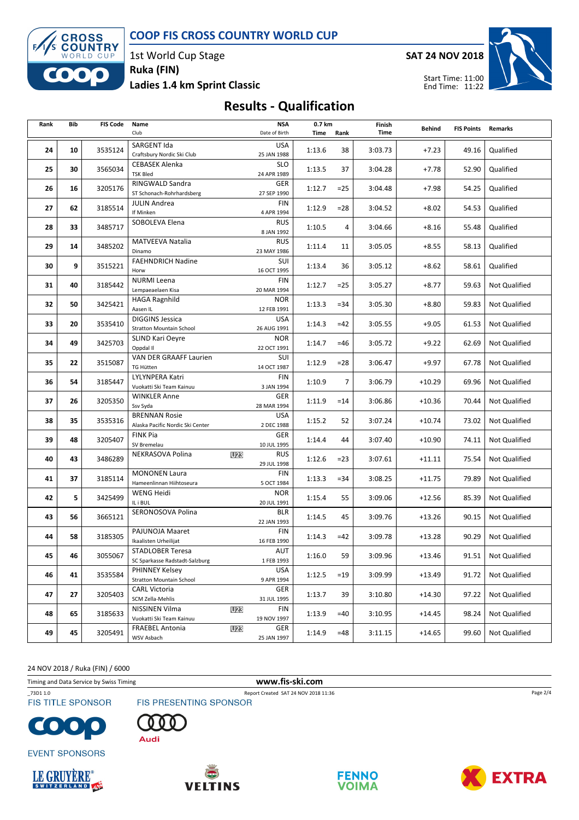



1st World Cup Stage Ruka (FIN)

Ladies 1.4 km Sprint Classic

SAT 24 NOV 2018



## Results - Qualification

| Rank | Bib | <b>FIS Code</b> | Name                                                      |            | <b>NSA</b>                | 0.7 km |        | Finish  | <b>Behind</b> | <b>FIS Points</b> | Remarks              |
|------|-----|-----------------|-----------------------------------------------------------|------------|---------------------------|--------|--------|---------|---------------|-------------------|----------------------|
|      |     |                 | Club                                                      |            | Date of Birth             | Time   | Rank   | Time    |               |                   |                      |
| 24   | 10  | 3535124         | SARGENT Ida<br>Craftsbury Nordic Ski Club                 |            | <b>USA</b><br>25 JAN 1988 | 1:13.6 | 38     | 3:03.73 | $+7.23$       | 49.16             | Qualified            |
| 25   | 30  | 3565034         | <b>CEBASEK Alenka</b><br><b>TSK Bled</b>                  |            | <b>SLO</b><br>24 APR 1989 | 1:13.5 | 37     | 3:04.28 | $+7.78$       | 52.90             | Qualified            |
| 26   | 16  | 3205176         | RINGWALD Sandra<br>ST Schonach-Rohrhardsberg              |            | GER<br>27 SEP 1990        | 1:12.7 | $=25$  | 3:04.48 | $+7.98$       | 54.25             | Qualified            |
| 27   | 62  | 3185514         | <b>JULIN Andrea</b><br>If Minken                          |            | FIN<br>4 APR 1994         | 1:12.9 | $= 28$ | 3:04.52 | $+8.02$       | 54.53             | Qualified            |
| 28   | 33  | 3485717         | SOBOLEVA Elena                                            |            | <b>RUS</b><br>8 JAN 1992  | 1:10.5 | 4      | 3:04.66 | $+8.16$       | 55.48             | Qualified            |
| 29   | 14  | 3485202         | <b>MATVEEVA Natalia</b><br>Dinamo                         |            | <b>RUS</b><br>23 MAY 1986 | 1:11.4 | 11     | 3:05.05 | $+8.55$       | 58.13             | Qualified            |
| 30   | 9   | 3515221         | <b>FAEHNDRICH Nadine</b><br>Horw                          |            | SUI<br>16 OCT 1995        | 1:13.4 | 36     | 3:05.12 | $+8.62$       | 58.61             | Qualified            |
| 31   | 40  | 3185442         | <b>NURMI</b> Leena<br>Lempaeaelaen Kisa                   |            | FIN<br>20 MAR 1994        | 1:12.7 | $=25$  | 3:05.27 | $+8.77$       | 59.63             | <b>Not Qualified</b> |
| 32   | 50  | 3425421         | HAGA Ragnhild<br>Aasen IL                                 |            | <b>NOR</b><br>12 FEB 1991 | 1:13.3 | $= 34$ | 3:05.30 | $+8.80$       | 59.83             | Not Qualified        |
| 33   | 20  | 3535410         | <b>DIGGINS Jessica</b><br><b>Stratton Mountain School</b> |            | <b>USA</b><br>26 AUG 1991 | 1:14.3 | $=42$  | 3:05.55 | $+9.05$       | 61.53             | Not Qualified        |
| 34   | 49  | 3425703         | SLIND Kari Oeyre<br>Oppdal II                             |            | <b>NOR</b><br>22 OCT 1991 | 1:14.7 | $=46$  | 3:05.72 | $+9.22$       | 62.69             | <b>Not Qualified</b> |
| 35   | 22  | 3515087         | VAN DER GRAAFF Laurien<br><b>TG Hütten</b>                |            | SUI<br>14 OCT 1987        | 1:12.9 | $= 28$ | 3:06.47 | $+9.97$       | 67.78             | Not Qualified        |
| 36   | 54  | 3185447         | LYLYNPERA Katri<br>Vuokatti Ski Team Kainuu               |            | FIN<br>3 JAN 1994         | 1:10.9 | 7      | 3:06.79 | $+10.29$      | 69.96             | Not Qualified        |
| 37   | 26  | 3205350         | <b>WINKLER Anne</b><br>Ssv Syda                           |            | GER<br>28 MAR 1994        | 1:11.9 | $=14$  | 3:06.86 | $+10.36$      | 70.44             | Not Qualified        |
| 38   | 35  | 3535316         | <b>BRENNAN Rosie</b><br>Alaska Pacific Nordic Ski Center  |            | <b>USA</b><br>2 DEC 1988  | 1:15.2 | 52     | 3:07.24 | $+10.74$      | 73.02             | Not Qualified        |
| 39   | 48  | 3205407         | <b>FINK Pia</b><br>SV Bremelau                            |            | GER<br>10 JUL 1995        | 1:14.4 | 44     | 3:07.40 | $+10.90$      | 74.11             | <b>Not Qualified</b> |
| 40   | 43  | 3486289         | NEKRASOVA Polina                                          | <b>U23</b> | <b>RUS</b><br>29 JUL 1998 | 1:12.6 | $= 23$ | 3:07.61 | +11.11        | 75.54             | Not Qualified        |
| 41   | 37  | 3185114         | <b>MONONEN Laura</b><br>Hameenlinnan Hiihtoseura          |            | FIN<br>5 OCT 1984         | 1:13.3 | $= 34$ | 3:08.25 | $+11.75$      | 79.89             | Not Qualified        |
| 42   | 5   | 3425499         | WENG Heidi<br>IL i BUL                                    |            | <b>NOR</b><br>20 JUL 1991 | 1:15.4 | 55     | 3:09.06 | $+12.56$      | 85.39             | Not Qualified        |
| 43   | 56  | 3665121         | SERONOSOVA Polina                                         |            | <b>BLR</b><br>22 JAN 1993 | 1:14.5 | 45     | 3:09.76 | $+13.26$      | 90.15             | Not Qualified        |
| 44   | 58  | 3185305         | PAJUNOJA Maaret<br>Ikaalisten Urheilijat                  |            | FIN<br>16 FEB 1990        | 1:14.3 | $=42$  | 3:09.78 | $+13.28$      | 90.29             | Not Qualified        |
| 45   | 46  | 3055067         | <b>STADLOBER Teresa</b><br>SC Sparkasse Radstadt-Salzburg |            | AUT<br>1 FEB 1993         | 1:16.0 | 59     | 3:09.96 | $+13.46$      | 91.51             | Not Qualified        |
| 46   | 41  | 3535584         | PHINNEY Kelsey<br><b>Stratton Mountain School</b>         |            | <b>USA</b><br>9 APR 1994  | 1:12.5 | $=19$  | 3:09.99 | $+13.49$      | 91.72             | <b>Not Qualified</b> |
| 47   | 27  | 3205403         | <b>CARL Victoria</b><br>SCM Zella-Mehlis                  |            | GER<br>31 JUL 1995        | 1:13.7 | 39     | 3:10.80 | +14.30        | 97.22             | Not Qualified        |
| 48   | 65  | 3185633         | NISSINEN Vilma<br>Vuokatti Ski Team Kainuu                | <b>U23</b> | FIN<br>19 NOV 1997        | 1:13.9 | $=40$  | 3:10.95 | $+14.45$      | 98.24             | Not Qualified        |
| 49   | 45  | 3205491         | <b>FRAEBEL Antonia</b><br>WSV Asbach                      | <b>U23</b> | GER<br>25 JAN 1997        | 1:14.9 | $=48$  | 3:11.15 | $+14.65$      | 99.60             | Not Qualified        |

24 NOV 2018 / Ruka (FIN) / 6000

Timing and Data Service by Swiss Timing **www.fis-ski.com** 

\_73D1 1.0 Report Created SAT 24 NOV 2018 11:36 **FIS TITLE SPONSOR** 





Audi



**EVENT SPONSORS** 







Page 2/4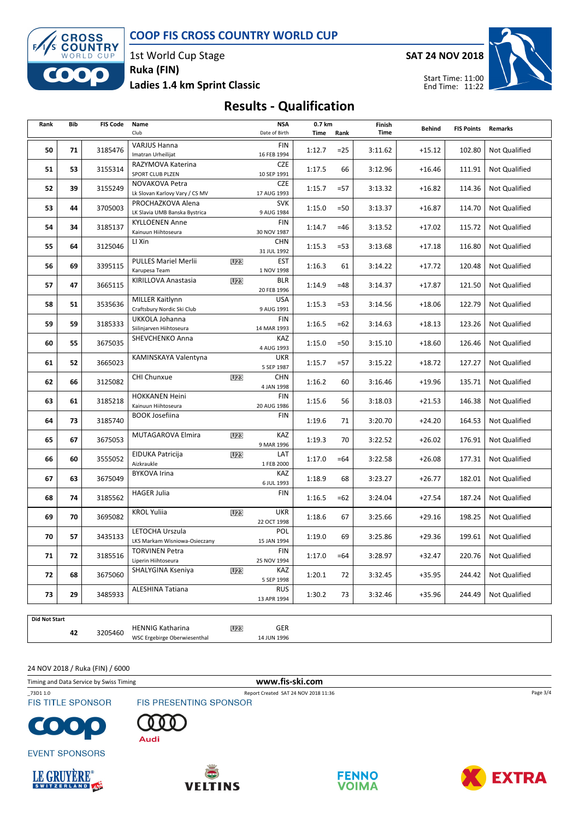COOP FIS CROSS COUNTRY WORLD CUP



1st World Cup Stage Ruka (FIN)

Ladies 1.4 km Sprint Classic

SAT 24 NOV 2018



## Results - Qualification

| Rank | Bib           | <b>FIS Code</b> | Name<br>Club                                           |            | <b>NSA</b><br>Date of Birth | 0.7 km<br>Time<br>Rank |                 | Finish<br>Time     | <b>Behind</b> | <b>FIS Points</b> | Remarks              |
|------|---------------|-----------------|--------------------------------------------------------|------------|-----------------------------|------------------------|-----------------|--------------------|---------------|-------------------|----------------------|
| 50   | 71            | 3185476         | <b>VARJUS Hanna</b>                                    |            | <b>FIN</b>                  | 1:12.7                 | $=25$           | 3:11.62            | $+15.12$      | 102.80            | Not Qualified        |
|      |               |                 | Imatran Urheilijat                                     |            | 16 FEB 1994                 |                        |                 |                    |               |                   |                      |
| 51   | 53            | 3155314         | RAZYMOVA Katerina<br>SPORT CLUB PLZEN                  |            | <b>CZE</b><br>10 SEP 1991   | 1:17.5                 | 66              | 3:12.96            | $+16.46$      | 111.91            | <b>Not Qualified</b> |
| 52   | 39            | 3155249         | NOVAKOVA Petra                                         |            | <b>CZE</b>                  | 1:15.7                 | $= 57$          | 3:13.32            | $+16.82$      | 114.36            | Not Qualified        |
|      |               |                 | Lk Slovan Karlovy Vary / CS MV                         |            | 17 AUG 1993                 |                        |                 |                    |               |                   |                      |
| 53   | 44            | 3705003         | PROCHAZKOVA Alena<br>LK Slavia UMB Banska Bystrica     |            | <b>SVK</b><br>9 AUG 1984    | 1:15.0                 | $=50$           | 3:13.37            | $+16.87$      | 114.70            | Not Qualified        |
|      |               |                 | <b>KYLLOENEN Anne</b>                                  |            | <b>FIN</b>                  |                        | $=46$<br>$= 53$ | 3:13.52<br>3:13.68 |               |                   |                      |
| 54   | 34            | 3185137         | Kainuun Hiihtoseura                                    |            | 30 NOV 1987                 | 1:14.7                 |                 |                    | $+17.02$      | 115.72            | Not Qualified        |
| 55   | 64            | 3125046         | LI Xin                                                 |            | <b>CHN</b>                  | 1:15.3                 |                 |                    | $+17.18$      | 116.80            | <b>Not Qualified</b> |
|      |               |                 | <b>PULLES Mariel Merlii</b>                            | <b>U23</b> | 31 JUL 1992<br><b>EST</b>   |                        |                 |                    |               |                   |                      |
| 56   | 69            | 3395115         | Karupesa Team                                          |            | 1 NOV 1998                  | 1:16.3                 | 61              | 3:14.22            | $+17.72$      | 120.48            | Not Qualified        |
| 57   | 47            | 3665115         | KIRILLOVA Anastasia                                    | <b>U23</b> | <b>BLR</b>                  | 1:14.9                 | $=48$           | 3:14.37            | $+17.87$      | 121.50            | Not Qualified        |
|      |               |                 | <b>MILLER Kaitlynn</b>                                 |            | 20 FEB 1996<br><b>USA</b>   |                        |                 |                    |               |                   |                      |
| 58   | 51            | 3535636         | Craftsbury Nordic Ski Club                             |            | 9 AUG 1991                  | 1:15.3                 | $= 53$          | 3:14.56            | $+18.06$      | 122.79            | Not Qualified        |
| 59   | 59<br>3185333 |                 | UKKOLA Johanna                                         |            | <b>FIN</b>                  | 1:16.5                 | $=62$           | 3:14.63            | $+18.13$      | 123.26            | <b>Not Qualified</b> |
|      |               |                 | Siilinjarven Hiihtoseura                               |            | 14 MAR 1993                 |                        |                 |                    |               |                   |                      |
| 60   | 55            | 3675035         | SHEVCHENKO Anna                                        |            | KAZ<br>4 AUG 1993           | 1:15.0                 | $=50$           | 3:15.10            | $+18.60$      | 126.46            | Not Qualified        |
| 61   | 52            | 3665023         | KAMINSKAYA Valentyna                                   |            | <b>UKR</b>                  | 1:15.7                 | $= 57$          | 3:15.22            | $+18.72$      | 127.27            | Not Qualified        |
|      |               |                 | CHI Chunxue                                            |            | 5 SEP 1987<br><b>CHN</b>    |                        |                 |                    |               |                   |                      |
| 62   | 66            | 3125082         |                                                        | <b>U23</b> | 4 JAN 1998                  | 1:16.2                 | 60              | 3:16.46            | $+19.96$      | 135.71            | Not Qualified        |
| 63   | 61            | 3185218         | <b>HOKKANEN Heini</b>                                  |            | <b>FIN</b>                  | 1:15.6                 | 56              | 3:18.03            | $+21.53$      | 146.38            | Not Qualified        |
|      |               |                 | Kainuun Hiihtoseura                                    |            | 20 AUG 1986                 |                        |                 |                    |               |                   |                      |
| 64   | 73            | 3185740         | <b>BOOK Josefiina</b>                                  |            | <b>FIN</b>                  | 1:19.6                 | 71              | 3:20.70            | $+24.20$      | 164.53            | Not Qualified        |
| 65   | 67            | 3675053         | MUTAGAROVA Elmira                                      | <b>U23</b> | KAZ                         | 1:19.3                 | 70              | 3:22.52            | $+26.02$      | 176.91            | Not Qualified        |
|      |               |                 | <b>EIDUKA Patricija</b>                                | U23        | 9 MAR 1996<br>LAT           |                        |                 |                    |               |                   |                      |
| 66   | 60            | 3555052         | Aizkraukle                                             |            | 1 FEB 2000                  | 1:17.0                 | $=64$           | 3:22.58            | $+26.08$      | 177.31            | <b>Not Qualified</b> |
| 67   | 63            | 3675049         | <b>BYKOVA Irina</b>                                    |            | KAZ                         | 1:18.9                 | 68              | 3:23.27            | $+26.77$      | 182.01            | Not Qualified        |
|      |               |                 | <b>HAGER Julia</b>                                     |            | 6 JUL 1993<br><b>FIN</b>    |                        |                 |                    |               |                   |                      |
| 68   | 74            | 3185562         |                                                        |            |                             | 1:16.5                 | $=62$           | 3:24.04            | $+27.54$      | 187.24            | <b>Not Qualified</b> |
| 69   | 70            | 3695082         | <b>KROL Yuliia</b>                                     | <b>U23</b> | <b>UKR</b><br>22 OCT 1998   | 1:18.6                 | 67              | 3:25.66            | $+29.16$      | 198.25            | Not Qualified        |
| 70   | 57            | 3435133         | LETOCHA Urszula                                        |            | <b>POL</b>                  | 1:19.0                 | 69              | 3:25.86            | $+29.36$      | 199.61            | Not Qualified        |
|      |               |                 | LKS Markam Wisniowa-Osieczany<br><b>TORVINEN Petra</b> |            | 15 JAN 1994<br><b>FIN</b>   |                        |                 |                    |               |                   |                      |
| 71   | 72            | 3185516         | Liperin Hiihtoseura                                    |            | 25 NOV 1994                 | 1:17.0                 | $=64$           | 3:28.97            | $+32.47$      | 220.76            | Not Qualified        |
| 72   | 68            | 3675060         | SHALYGINA Kseniya                                      | <b>U23</b> | KAZ                         | 1:20.1                 | 72              | 3:32.45            | $+35.95$      | 244.42            | Not Qualified        |
|      |               |                 | <b>ALESHINA Tatiana</b>                                |            | 5 SEP 1998<br><b>RUS</b>    |                        |                 |                    |               |                   |                      |
| 73   | 29            | 3485933         |                                                        |            | 13 APR 1994                 | 1:30.2                 | 73              | 3:32.46            | $+35.96$      | 244.49            | Not Qualified        |

Did Not Start

42 3205460 HENNIG Katharina WSC Ergebirge Oberwiesenthal 3205460

**U23** GER 14 JUN 1996

24 NOV 2018 / Ruka (FIN) / 6000

Timing and Data Service by Swiss Timing **www.fis-ski.com** 

\_73D1 1.0 Report Created SAT 24 NOV 2018 11:36

**FIS TITLE SPONSOR** 



**EVENT SPONSORS** 





FIS PRESENTING SPONSOR









Page 3/4